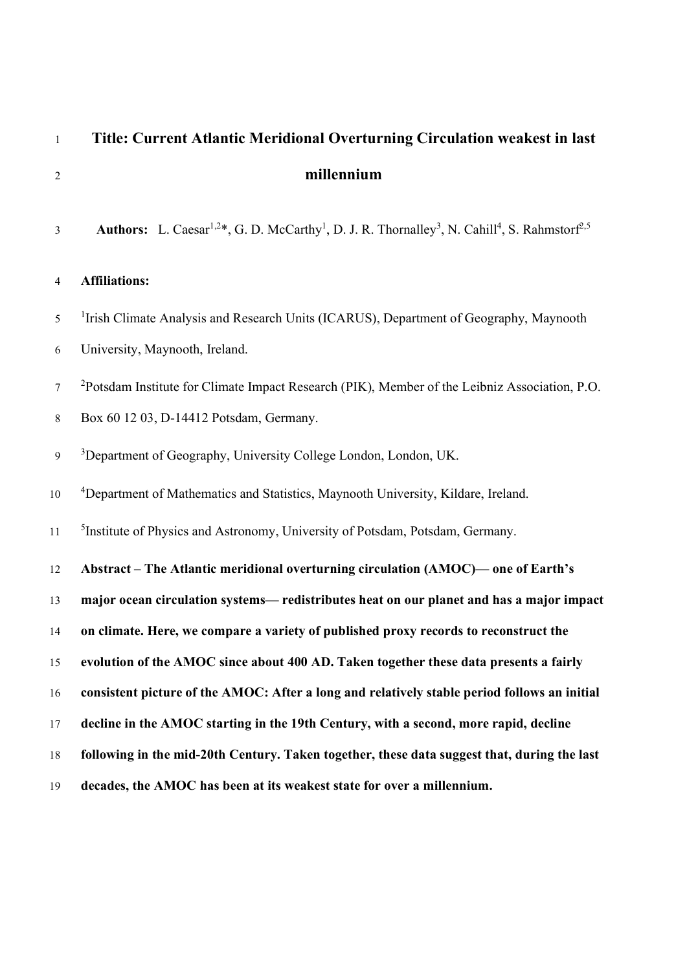# Title: Current Atlantic Meridional Overturning Circulation weakest in last millennium

3 **Authors:** L. Caesar<sup>1,2\*</sup>, G. D. McCarthy<sup>1</sup>, D. J. R. Thornalley<sup>3</sup>, N. Cahill<sup>4</sup>, S. Rahmstorf<sup>2,5</sup>

#### Affiliations:

<sup>1</sup> Irish Climate Analysis and Research Units (ICARUS), Department of Geography, Maynooth University, Maynooth, Ireland.

<sup>2</sup> Potsdam Institute for Climate Impact Research (PIK), Member of the Leibniz Association, P.O.

- Box 60 12 03, D-14412 Potsdam, Germany.
- <sup>3</sup> Department of Geography, University College London, London, UK.

10 <sup>4</sup>Department of Mathematics and Statistics, Maynooth University, Kildare, Ireland.

<sup>5</sup> 11 <sup>5</sup> Institute of Physics and Astronomy, University of Potsdam, Potsdam, Germany.

Abstract – The Atlantic meridional overturning circulation (AMOC)— one of Earth's

major ocean circulation systems— redistributes heat on our planet and has a major impact

on climate. Here, we compare a variety of published proxy records to reconstruct the

evolution of the AMOC since about 400 AD. Taken together these data presents a fairly

consistent picture of the AMOC: After a long and relatively stable period follows an initial

decline in the AMOC starting in the 19th Century, with a second, more rapid, decline

following in the mid-20th Century. Taken together, these data suggest that, during the last

decades, the AMOC has been at its weakest state for over a millennium.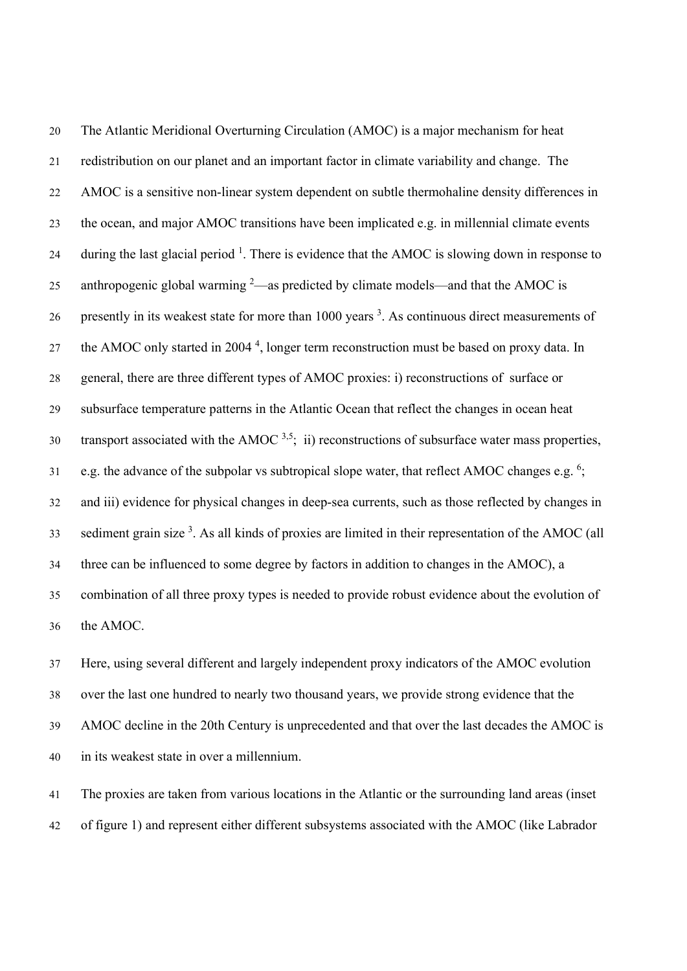The Atlantic Meridional Overturning Circulation (AMOC) is a major mechanism for heat redistribution on our planet and an important factor in climate variability and change. The AMOC is a sensitive non-linear system dependent on subtle thermohaline density differences in the ocean, and major AMOC transitions have been implicated e.g. in millennial climate events 24 – during the last glacial period . There is evidence that the AMOC is slowing down in response to 25 anthropogenic global warming —as predicted by climate models—and that the AMOC is 26 presently in its weakest state for more than 1000 years <sup>3</sup>. As continuous direct measurements of 27 the AMOC only started in 2004<sup>4</sup>, longer term reconstruction must be based on proxy data. In general, there are three different types of AMOC proxies: i) reconstructions of surface or subsurface temperature patterns in the Atlantic Ocean that reflect the changes in ocean heat 30 transport associated with the AMOC  $3.5$ ; ii) reconstructions of subsurface water mass properties, e.g. the advance of the subpolar vs subtropical slope water, that reflect AMOC changes e.g. ; and iii) evidence for physical changes in deep-sea currents, such as those reflected by changes in sediment grain size . As all kinds of proxies are limited in their representation of the AMOC (all three can be influenced to some degree by factors in addition to changes in the AMOC), a combination of all three proxy types is needed to provide robust evidence about the evolution of the AMOC.

Here, using several different and largely independent proxy indicators of the AMOC evolution over the last one hundred to nearly two thousand years, we provide strong evidence that the AMOC decline in the 20th Century is unprecedented and that over the last decades the AMOC is in its weakest state in over a millennium.

The proxies are taken from various locations in the Atlantic or the surrounding land areas (inset of figure 1) and represent either different subsystems associated with the AMOC (like Labrador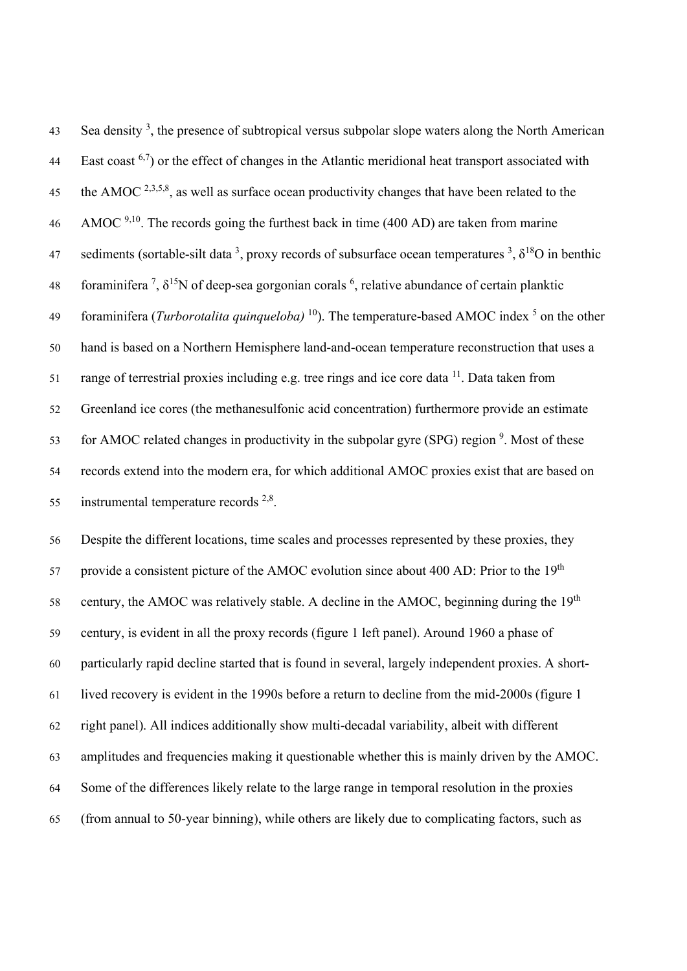43 Sea density<sup>3</sup>, the presence of subtropical versus subpolar slope waters along the North American East coast  $6,7$  or the effect of changes in the Atlantic meridional heat transport associated with the AMOC  $^{2,3,5,8}$ , as well as surface ocean productivity changes that have been related to the AMOC <sup>9,10</sup>. The records going the furthest back in time (400 AD) are taken from marine 47 sediments (sortable-silt data<sup>3</sup>, proxy records of subsurface ocean temperatures<sup>3</sup>,  $\delta^{18}O$  in benthic 48 foraminifera <sup>7</sup>,  $\delta^{15}N$  of deep-sea gorgonian corals <sup>6</sup>, relative abundance of certain planktic 49 foraminifera (Turborotalita quinqueloba) <sup>10</sup>). The temperature-based AMOC index <sup>5</sup> on the other hand is based on a Northern Hemisphere land-and-ocean temperature reconstruction that uses a 51 range of terrestrial proxies including e.g. tree rings and ice core data . Data taken from Greenland ice cores (the methanesulfonic acid concentration) furthermore provide an estimate for AMOC related changes in productivity in the subpolar gyre (SPG) region . Most of these records extend into the modern era, for which additional AMOC proxies exist that are based on 55 instrumental temperature records  $2,8$ .

Despite the different locations, time scales and processes represented by these proxies, they provide a consistent picture of the AMOC evolution since about 400 AD: Prior to the  $19<sup>th</sup>$ 58 century, the AMOC was relatively stable. A decline in the AMOC, beginning during the  $19<sup>th</sup>$ century, is evident in all the proxy records (figure 1 left panel). Around 1960 a phase of particularly rapid decline started that is found in several, largely independent proxies. A short-lived recovery is evident in the 1990s before a return to decline from the mid-2000s (figure 1 right panel). All indices additionally show multi-decadal variability, albeit with different amplitudes and frequencies making it questionable whether this is mainly driven by the AMOC. Some of the differences likely relate to the large range in temporal resolution in the proxies (from annual to 50-year binning), while others are likely due to complicating factors, such as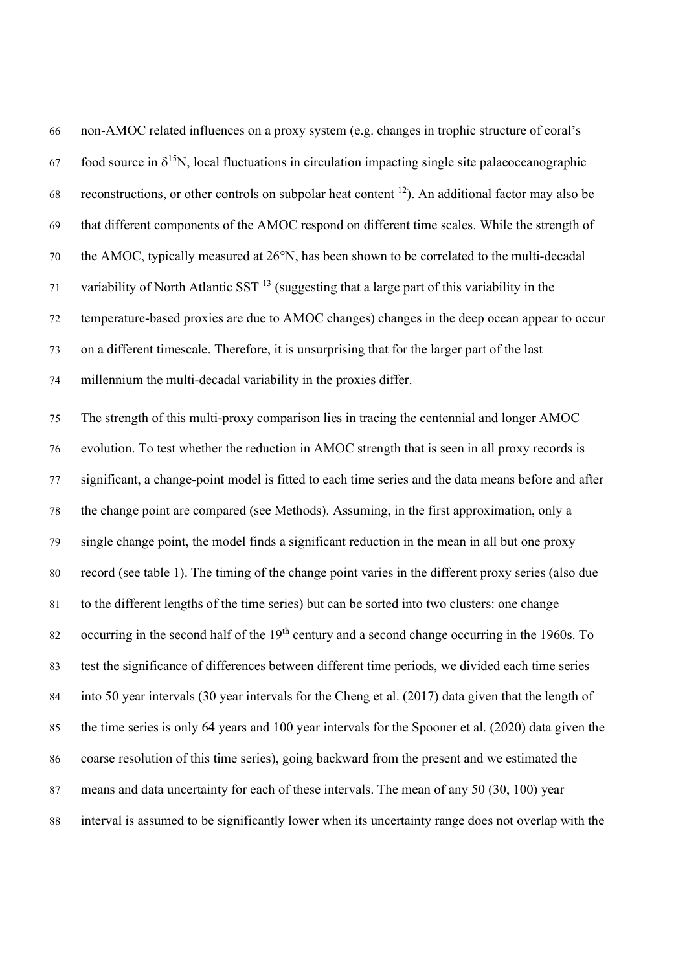| 66 | non-AMOC related influences on a proxy system (e.g. changes in trophic structure of coral's                   |
|----|---------------------------------------------------------------------------------------------------------------|
| 67 | food source in $\delta^{15}N$ , local fluctuations in circulation impacting single site palaeoceanographic    |
| 68 | reconstructions, or other controls on subpolar heat content <sup>12</sup> ). An additional factor may also be |
| 69 | that different components of the AMOC respond on different time scales. While the strength of                 |
| 70 | the AMOC, typically measured at 26°N, has been shown to be correlated to the multi-decadal                    |
| 71 | variability of North Atlantic SST $13$ (suggesting that a large part of this variability in the               |
| 72 | temperature-based proxies are due to AMOC changes) changes in the deep ocean appear to occur                  |
| 73 | on a different timescale. Therefore, it is unsurprising that for the larger part of the last                  |
| 74 | millennium the multi-decadal variability in the proxies differ.                                               |
| 75 | The strength of this multi-proxy comparison lies in tracing the centennial and longer AMOC                    |
| 76 | evolution. To test whether the reduction in AMOC strength that is seen in all proxy records is                |
| 77 | significant, a change-point model is fitted to each time series and the data means before and after           |
| 78 | the change point are compared (see Methods). Assuming, in the first approximation, only a                     |
| 79 | single change point, the model finds a significant reduction in the mean in all but one proxy                 |
| 80 | record (see table 1). The timing of the change point varies in the different proxy series (also due           |
| 81 | to the different lengths of the time series) but can be sorted into two clusters: one change                  |
| 82 | occurring in the second half of the 19 <sup>th</sup> century and a second change occurring in the 1960s. To   |
| 83 | test the significance of differences between different time periods, we divided each time series              |
| 84 | into 50 year intervals (30 year intervals for the Cheng et al. (2017) data given that the length of           |
| 85 | the time series is only 64 years and 100 year intervals for the Spooner et al. (2020) data given the          |
| 86 | coarse resolution of this time series), going backward from the present and we estimated the                  |
| 87 | means and data uncertainty for each of these intervals. The mean of any 50 (30, 100) year                     |
| 88 | interval is assumed to be significantly lower when its uncertainty range does not overlap with the            |
|    |                                                                                                               |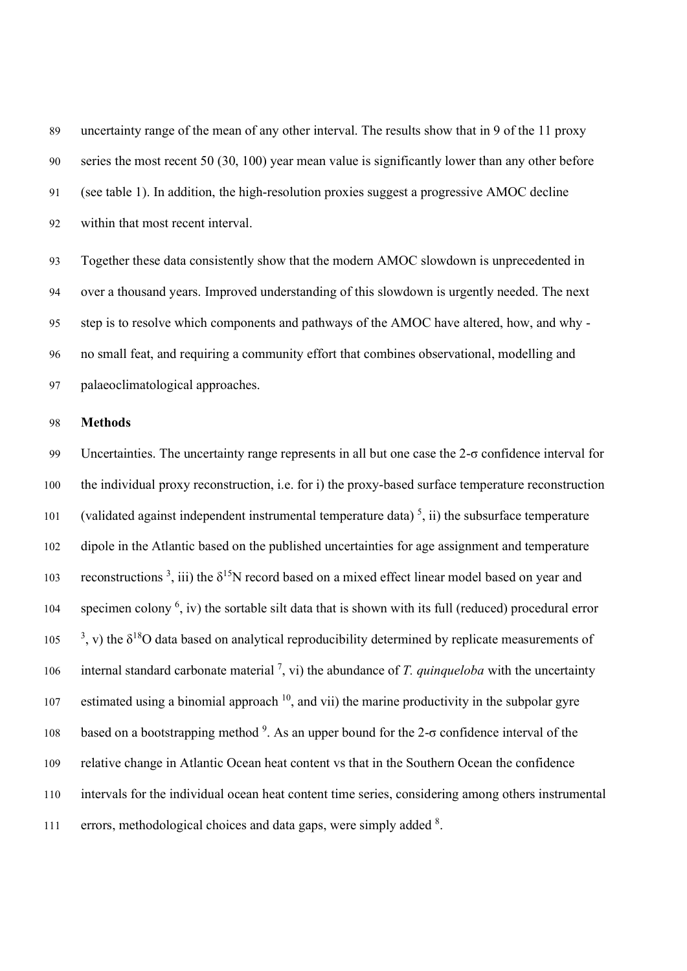uncertainty range of the mean of any other interval. The results show that in 9 of the 11 proxy series the most recent 50 (30, 100) year mean value is significantly lower than any other before (see table 1). In addition, the high-resolution proxies suggest a progressive AMOC decline within that most recent interval.

Together these data consistently show that the modern AMOC slowdown is unprecedented in over a thousand years. Improved understanding of this slowdown is urgently needed. The next step is to resolve which components and pathways of the AMOC have altered, how, and why - no small feat, and requiring a community effort that combines observational, modelling and palaeoclimatological approaches.

## Methods

Uncertainties. The uncertainty range represents in all but one case the 2-σ confidence interval for the individual proxy reconstruction, i.e. for i) the proxy-based surface temperature reconstruction (validated against independent instrumental temperature data)<sup>5</sup>, ii) the subsurface temperature dipole in the Atlantic based on the published uncertainties for age assignment and temperature 103 reconstructions <sup>3</sup>, iii) the  $\delta^{15}N$  record based on a mixed effect linear model based on year and 104 specimen colony  $^6$ , iv) the sortable silt data that is shown with its full (reduced) procedural error 105  $\frac{3}{2}$ , v) the  $\delta^{18}$ O data based on analytical reproducibility determined by replicate measurements of 106 internal standard carbonate material <sup>7</sup>, vi) the abundance of *T. quinqueloba* with the uncertainty 107 estimated using a binomial approach , and vii) the marine productivity in the subpolar gyre 108 based on a bootstrapping method <sup>9</sup>. As an upper bound for the 2-σ confidence interval of the relative change in Atlantic Ocean heat content vs that in the Southern Ocean the confidence intervals for the individual ocean heat content time series, considering among others instrumental 111 errors, methodological choices and data gaps, were simply added .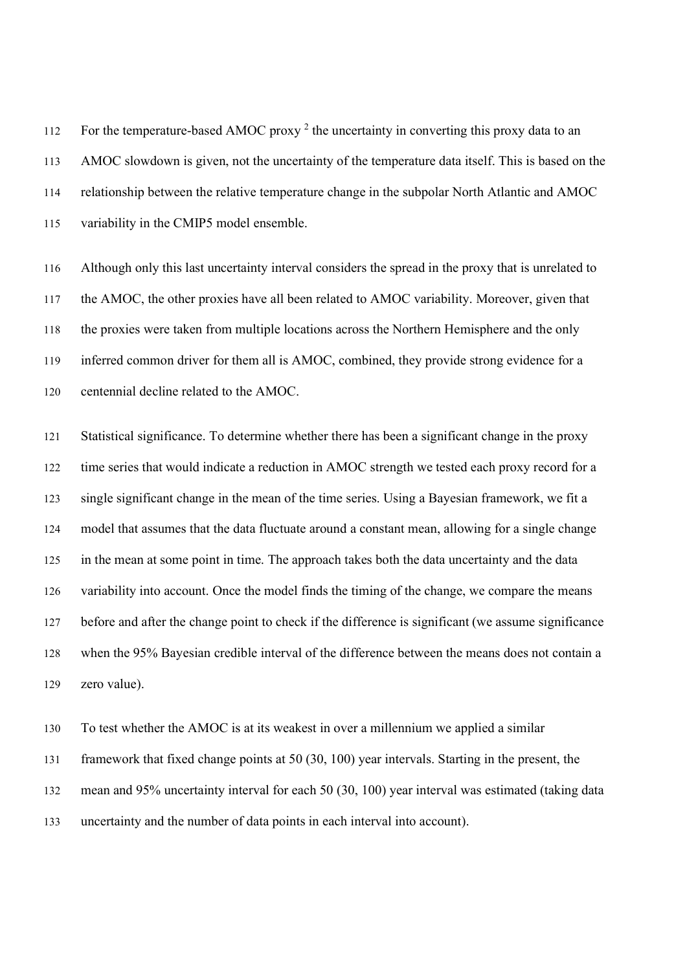112 For the temperature-based AMOC proxy<sup>2</sup> the uncertainty in converting this proxy data to an AMOC slowdown is given, not the uncertainty of the temperature data itself. This is based on the relationship between the relative temperature change in the subpolar North Atlantic and AMOC variability in the CMIP5 model ensemble.

Although only this last uncertainty interval considers the spread in the proxy that is unrelated to the AMOC, the other proxies have all been related to AMOC variability. Moreover, given that the proxies were taken from multiple locations across the Northern Hemisphere and the only inferred common driver for them all is AMOC, combined, they provide strong evidence for a centennial decline related to the AMOC.

Statistical significance. To determine whether there has been a significant change in the proxy 122 time series that would indicate a reduction in AMOC strength we tested each proxy record for a single significant change in the mean of the time series. Using a Bayesian framework, we fit a model that assumes that the data fluctuate around a constant mean, allowing for a single change in the mean at some point in time. The approach takes both the data uncertainty and the data variability into account. Once the model finds the timing of the change, we compare the means before and after the change point to check if the difference is significant (we assume significance when the 95% Bayesian credible interval of the difference between the means does not contain a zero value).

To test whether the AMOC is at its weakest in over a millennium we applied a similar framework that fixed change points at 50 (30, 100) year intervals. Starting in the present, the mean and 95% uncertainty interval for each 50 (30, 100) year interval was estimated (taking data uncertainty and the number of data points in each interval into account).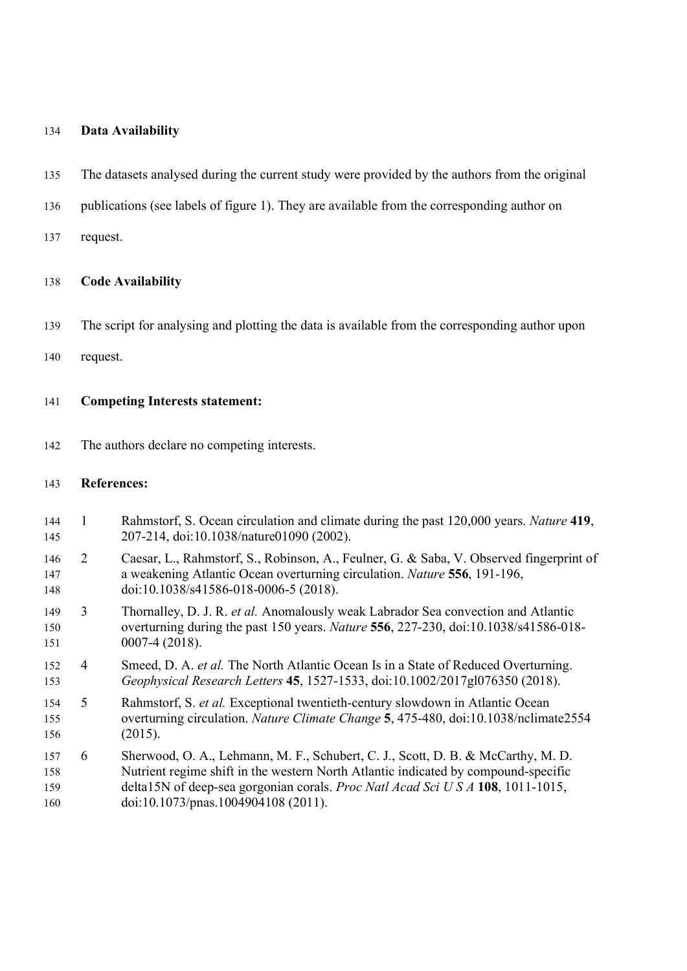#### Data Availability

- The datasets analysed during the current study were provided by the authors from the original
- publications (see labels of figure 1). They are available from the corresponding author on
- request.

#### Code Availability

- The script for analysing and plotting the data is available from the corresponding author upon
- request.

### Competing Interests statement:

The authors declare no competing interests.

#### References:

- 144 1 Rahmstorf, S. Ocean circulation and climate during the past 120,000 years. Nature 419, 207-214, doi:10.1038/nature01090 (2002).
- 2 Caesar, L., Rahmstorf, S., Robinson, A., Feulner, G. & Saba, V. Observed fingerprint of a weakening Atlantic Ocean overturning circulation. Nature 556, 191-196, 148 doi:10.1038/s41586-018-0006-5 (2018).
- 149 3 Thornalley, D. J. R. et al. Anomalously weak Labrador Sea convection and Atlantic overturning during the past 150 years. Nature 556, 227-230, doi:10.1038/s41586-018- 0007-4 (2018).
- 152 4 Smeed, D. A. et al. The North Atlantic Ocean Is in a State of Reduced Overturning. Geophysical Research Letters 45, 1527-1533, doi:10.1002/2017gl076350 (2018).
- 5 Rahmstorf, S. et al. Exceptional twentieth-century slowdown in Atlantic Ocean overturning circulation. Nature Climate Change 5, 475-480, doi:10.1038/nclimate2554 (2015).
- 6 Sherwood, O. A., Lehmann, M. F., Schubert, C. J., Scott, D. B. & McCarthy, M. D. Nutrient regime shift in the western North Atlantic indicated by compound-specific 159 delta15N of deep-sea gorgonian corals. Proc Natl Acad Sci U S A 108, 1011-1015, 160 doi:10.1073/pnas.1004904108 (2011).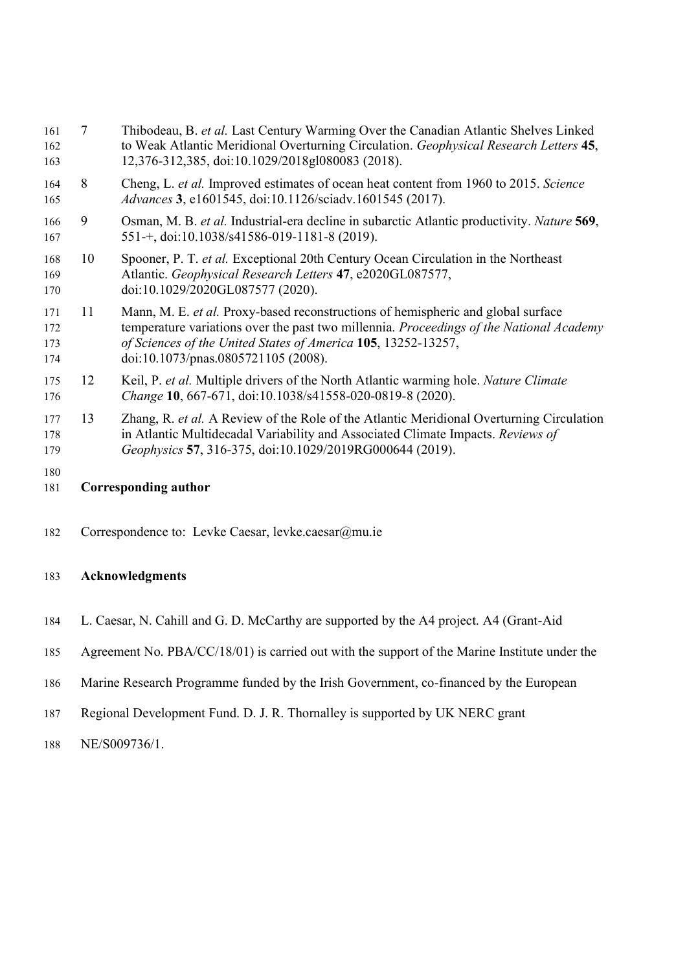| 161<br>162<br>163        | 7                                                                                                                                                                                        | Thibodeau, B. et al. Last Century Warming Over the Canadian Atlantic Shelves Linked<br>to Weak Atlantic Meridional Overturning Circulation. Geophysical Research Letters 45,<br>12,376-312,385, doi:10.1029/2018gl080083 (2018).                                                    |  |  |  |
|--------------------------|------------------------------------------------------------------------------------------------------------------------------------------------------------------------------------------|-------------------------------------------------------------------------------------------------------------------------------------------------------------------------------------------------------------------------------------------------------------------------------------|--|--|--|
| 164<br>165               | 8                                                                                                                                                                                        | Cheng, L. et al. Improved estimates of ocean heat content from 1960 to 2015. Science<br>Advances 3, e1601545, doi:10.1126/sciadv.1601545 (2017).                                                                                                                                    |  |  |  |
| 166<br>167               | 9                                                                                                                                                                                        | Osman, M. B. et al. Industrial-era decline in subarctic Atlantic productivity. Nature 569,<br>551-+, doi:10.1038/s41586-019-1181-8 (2019).                                                                                                                                          |  |  |  |
| 168<br>169<br>170        | 10<br>Spooner, P. T. et al. Exceptional 20th Century Ocean Circulation in the Northeast<br>Atlantic. Geophysical Research Letters 47, e2020GL087577,<br>doi:10.1029/2020GL087577 (2020). |                                                                                                                                                                                                                                                                                     |  |  |  |
| 171<br>172<br>173<br>174 | 11                                                                                                                                                                                       | Mann, M. E. et al. Proxy-based reconstructions of hemispheric and global surface<br>temperature variations over the past two millennia. Proceedings of the National Academy<br>of Sciences of the United States of America 105, 13252-13257,<br>doi:10.1073/pnas.0805721105 (2008). |  |  |  |
| 175<br>176               | 12                                                                                                                                                                                       | Keil, P. et al. Multiple drivers of the North Atlantic warming hole. Nature Climate<br>Change 10, 667-671, doi:10.1038/s41558-020-0819-8 (2020).                                                                                                                                    |  |  |  |
| 177<br>178<br>179        | 13                                                                                                                                                                                       | Zhang, R. et al. A Review of the Role of the Atlantic Meridional Overturning Circulation<br>in Atlantic Multidecadal Variability and Associated Climate Impacts. Reviews of<br>Geophysics 57, 316-375, doi:10.1029/2019RG000644 (2019).                                             |  |  |  |
| 180<br>181               |                                                                                                                                                                                          | Corresponding author                                                                                                                                                                                                                                                                |  |  |  |

182 Correspondence to: Levke Caesar, levke.caesar@mu.ie

# 183 Acknowledgments

- 184 L. Caesar, N. Cahill and G. D. McCarthy are supported by the A4 project. A4 (Grant-Aid
- 185 Agreement No. PBA/CC/18/01) is carried out with the support of the Marine Institute under the
- 186 Marine Research Programme funded by the Irish Government, co-financed by the European
- 187 Regional Development Fund. D. J. R. Thornalley is supported by UK NERC grant
- 188 NE/S009736/1.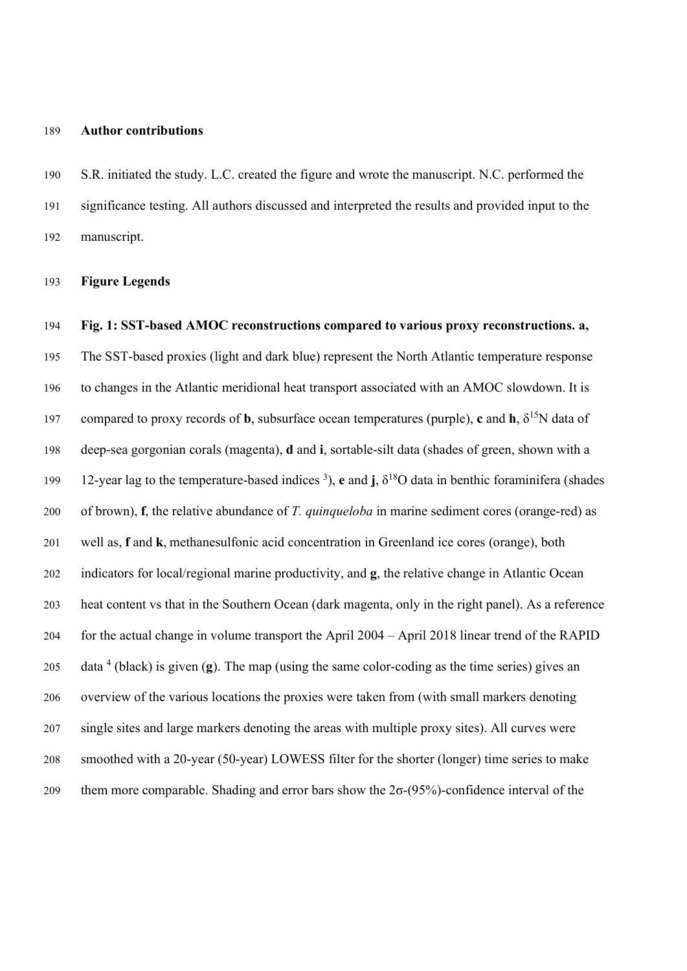#### Author contributions

S.R. initiated the study. L.C. created the figure and wrote the manuscript. N.C. performed the significance testing. All authors discussed and interpreted the results and provided input to the manuscript.

Figure Legends

Fig. 1: SST-based AMOC reconstructions compared to various proxy reconstructions. a, The SST-based proxies (light and dark blue) represent the North Atlantic temperature response to changes in the Atlantic meridional heat transport associated with an AMOC slowdown. It is 197 compared to proxy records of **b**, subsurface ocean temperatures (purple), c and **h**,  $\delta^{15}N$  data of deep-sea gorgonian corals (magenta), d and i, sortable-silt data (shades of green, shown with a 199 12-year lag to the temperature-based indices <sup>3</sup>), e and j,  $\delta^{18}O$  data in benthic foraminifera (shades 200 of brown), f, the relative abundance of T. *quinqueloba* in marine sediment cores (orange-red) as well as, f and k, methanesulfonic acid concentration in Greenland ice cores (orange), both 202 indicators for local/regional marine productivity, and **g**, the relative change in Atlantic Ocean heat content vs that in the Southern Ocean (dark magenta, only in the right panel). As a reference for the actual change in volume transport the April 2004 – April 2018 linear trend of the RAPID 205 data <sup>4</sup> (black) is given (g). The map (using the same color-coding as the time series) gives an overview of the various locations the proxies were taken from (with small markers denoting single sites and large markers denoting the areas with multiple proxy sites). All curves were smoothed with a 20-year (50-year) LOWESS filter for the shorter (longer) time series to make them more comparable. Shading and error bars show the 2σ-(95%)-confidence interval of the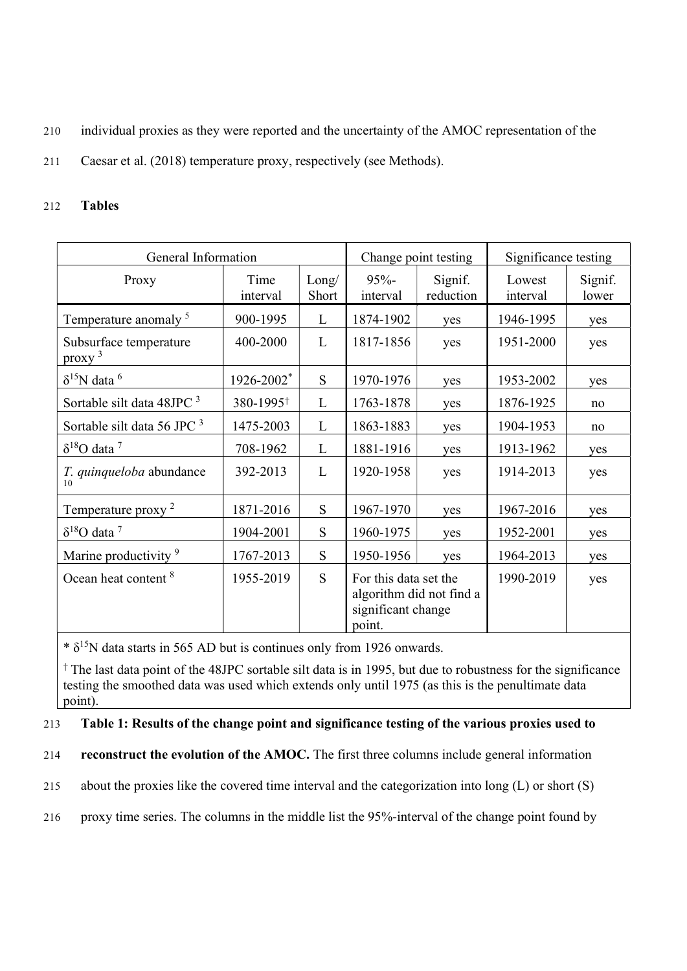- 210 individual proxies as they were reported and the uncertainty of the AMOC representation of the
- 211 Caesar et al. (2018) temperature proxy, respectively (see Methods).

## 212 Tables

| General Information                 | Change point testing  |                | Significance testing                                                              |                      |                    |                  |
|-------------------------------------|-----------------------|----------------|-----------------------------------------------------------------------------------|----------------------|--------------------|------------------|
| Proxy                               | Time<br>interval      | Long/<br>Short | $95% -$<br>interval                                                               | Signif.<br>reduction | Lowest<br>interval | Signif.<br>lower |
| Temperature anomaly <sup>5</sup>    | 900-1995              | L              | 1874-1902                                                                         | yes                  | 1946-1995          | yes              |
| Subsurface temperature<br>$proxy^3$ | 400-2000              | L              | 1817-1856                                                                         | yes                  | 1951-2000          | yes              |
| $\delta^{15}$ N data <sup>6</sup>   | 1926-2002*            | S              | 1970-1976                                                                         | yes                  | 1953-2002          | yes              |
| Sortable silt data 48JPC 3          | 380-1995 <sup>+</sup> | L              | 1763-1878                                                                         | yes                  | 1876-1925          | no               |
| Sortable silt data 56 JPC 3         | 1475-2003             | L              | 1863-1883                                                                         | yes                  | 1904-1953          | no               |
| $\delta^{18}$ O data <sup>7</sup>   | 708-1962              | L              | 1881-1916                                                                         | yes                  | 1913-1962          | yes              |
| T. quinqueloba abundance<br>10      | 392-2013              | L              | 1920-1958                                                                         | yes                  | 1914-2013          | yes              |
| Temperature proxy <sup>2</sup>      | 1871-2016             | S              | 1967-1970                                                                         | yes                  | 1967-2016          | yes              |
| $\delta^{18}$ O data <sup>7</sup>   | 1904-2001             | S              | 1960-1975                                                                         | yes                  | 1952-2001          | yes              |
| Marine productivity <sup>9</sup>    | 1767-2013             | S              | 1950-1956                                                                         | yes                  | 1964-2013          | yes              |
| Ocean heat content <sup>8</sup>     | 1955-2019             | S              | For this data set the<br>algorithm did not find a<br>significant change<br>point. |                      | 1990-2019          | yes              |

 $*$   $\delta$ <sup>15</sup>N data starts in 565 AD but is continues only from 1926 onwards.

† The last data point of the 48JPC sortable silt data is in 1995, but due to robustness for the significance testing the smoothed data was used which extends only until 1975 (as this is the penultimate data point).

# 213 Table 1: Results of the change point and significance testing of the various proxies used to

214 reconstruct the evolution of the AMOC. The first three columns include general information

215 about the proxies like the covered time interval and the categorization into long (L) or short (S)

216 proxy time series. The columns in the middle list the 95%-interval of the change point found by